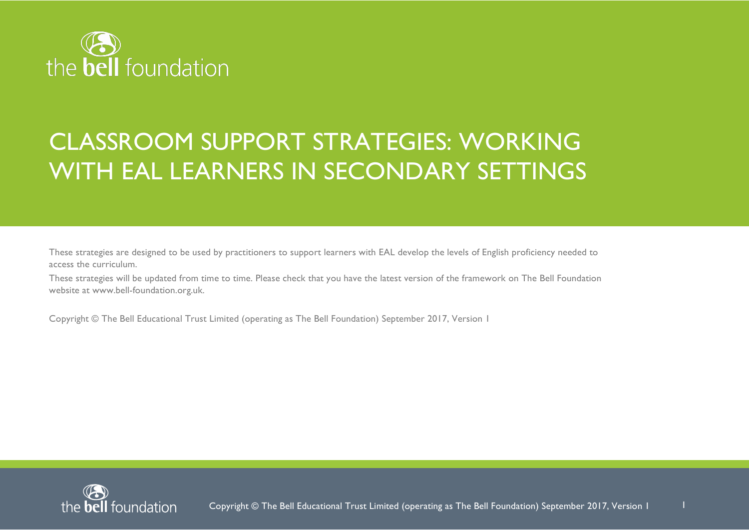

# CLASSROOM SUPPORT STRATEGIES: WORKING WITH EAL LEARNERS IN SECONDARY SETTINGS

These strategies are designed to be used by practitioners to support learners with EAL develop the levels of English proficiency needed to access the curriculum.

These strategies will be updated from time to time. Please check that you have the latest version of the framework on The Bell Foundation website at www.bell-foundation.org.uk.

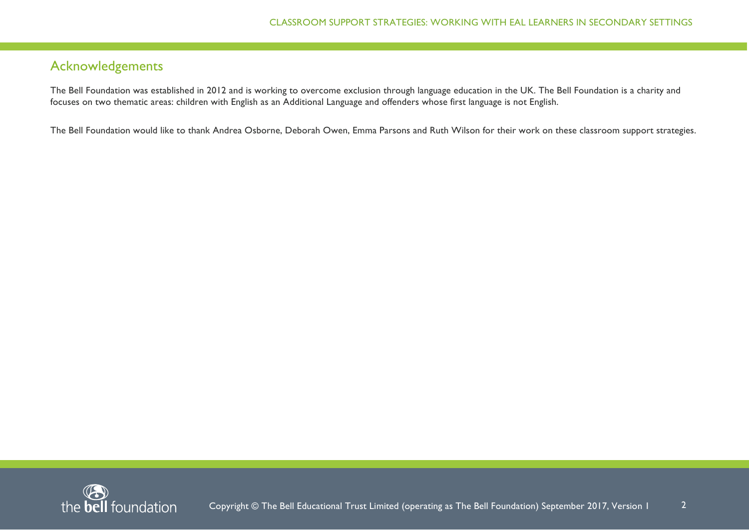# Acknowledgements

The Bell Foundation was established in 2012 and is working to overcome exclusion through language education in the UK. The Bell Foundation is a charity and focuses on two thematic areas: children with English as an Additional Language and offenders whose first language is not English.

The Bell Foundation would like to thank Andrea Osborne, Deborah Owen, Emma Parsons and Ruth Wilson for their work on these classroom support strategies.

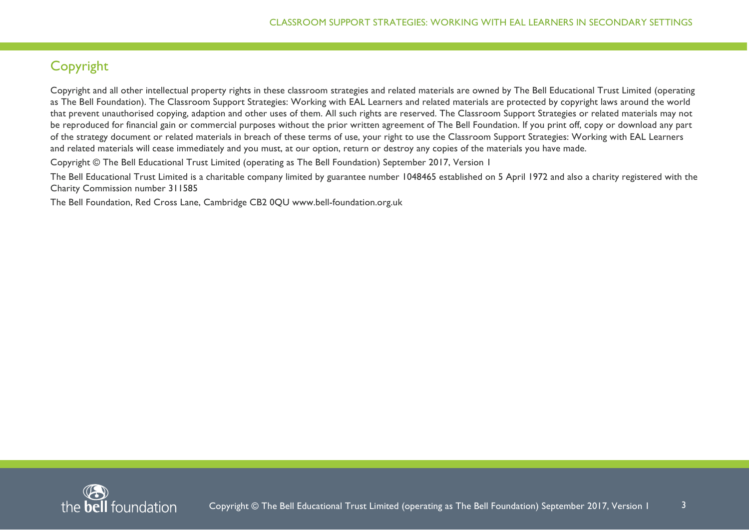# Copyright

Copyright and all other intellectual property rights in these classroom strategies and related materials are owned by The Bell Educational Trust Limited (operating as The Bell Foundation). The Classroom Support Strategies: Working with EAL Learners and related materials are protected by copyright laws around the world that prevent unauthorised copying, adaption and other uses of them. All such rights are reserved. The Classroom Support Strategies or related materials may not be reproduced for financial gain or commercial purposes without the prior written agreement of The Bell Foundation. If you print off, copy or download any part of the strategy document or related materials in breach of these terms of use, your right to use the Classroom Support Strategies: Working with EAL Learners and related materials will cease immediately and you must, at our option, return or destroy any copies of the materials you have made.

Copyright © The Bell Educational Trust Limited (operating as The Bell Foundation) September 2017, Version 1

The Bell Educational Trust Limited is a charitable company limited by guarantee number 1048465 established on 5 April 1972 and also a charity registered with the Charity Commission number 311585

The Bell Foundation, Red Cross Lane, Cambridge CB2 0QU www.bell-foundation.org.uk

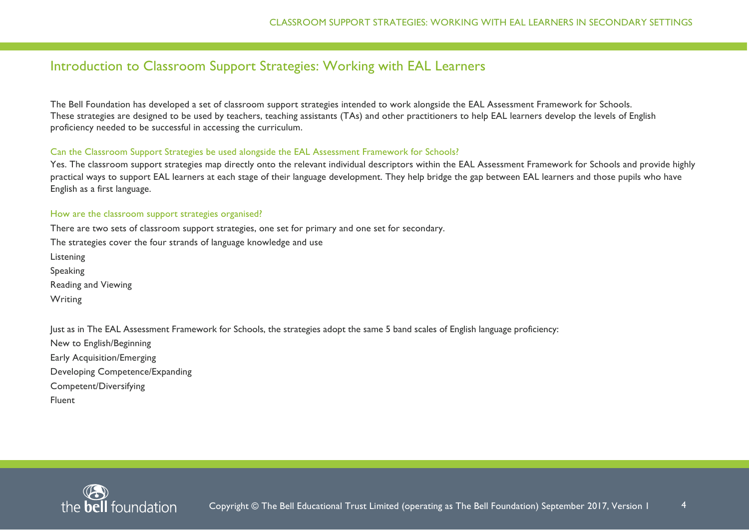# Introduction to Classroom Support Strategies: Working with EAL Learners

The Bell Foundation has developed a set of classroom support strategies intended to work alongside the EAL Assessment Framework for Schools. These strategies are designed to be used by teachers, teaching assistants (TAs) and other practitioners to help EAL learners develop the levels of English proficiency needed to be successful in accessing the curriculum.

#### Can the Classroom Support Strategies be used alongside the EAL Assessment Framework for Schools?

Yes. The classroom support strategies map directly onto the relevant individual descriptors within the EAL Assessment Framework for Schools and provide highly practical ways to support EAL learners at each stage of their language development. They help bridge the gap between EAL learners and those pupils who have English as a first language.

#### How are the classroom support strategies organised?

There are two sets of classroom support strategies, one set for primary and one set for secondary. The strategies cover the four strands of language knowledge and use Listening Speaking Reading and Viewing Writing

Just as in The EAL Assessment Framework for Schools, the strategies adopt the same 5 band scales of English language proficiency:

New to English/Beginning Early Acquisition/Emerging Developing Competence/Expanding Competent/Diversifying Fluent

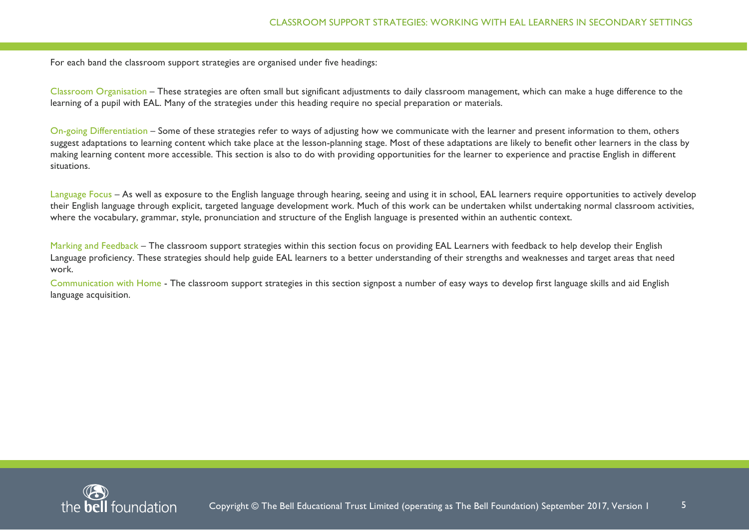For each band the classroom support strategies are organised under five headings:

Classroom Organisation – These strategies are often small but significant adjustments to daily classroom management, which can make a huge difference to the learning of a pupil with EAL. Many of the strategies under this heading require no special preparation or materials.

On-going Differentiation – Some of these strategies refer to ways of adjusting how we communicate with the learner and present information to them, others suggest adaptations to learning content which take place at the lesson-planning stage. Most of these adaptations are likely to benefit other learners in the class by making learning content more accessible. This section is also to do with providing opportunities for the learner to experience and practise English in different situations.

Language Focus – As well as exposure to the English language through hearing, seeing and using it in school, EAL learners require opportunities to actively develop their English language through explicit, targeted language development work. Much of this work can be undertaken whilst undertaking normal classroom activities, where the vocabulary, grammar, style, pronunciation and structure of the English language is presented within an authentic context.

Marking and Feedback – The classroom support strategies within this section focus on providing EAL Learners with feedback to help develop their English Language proficiency. These strategies should help guide EAL learners to a better understanding of their strengths and weaknesses and target areas that need work.

Communication with Home - The classroom support strategies in this section signpost a number of easy ways to develop first language skills and aid English language acquisition.

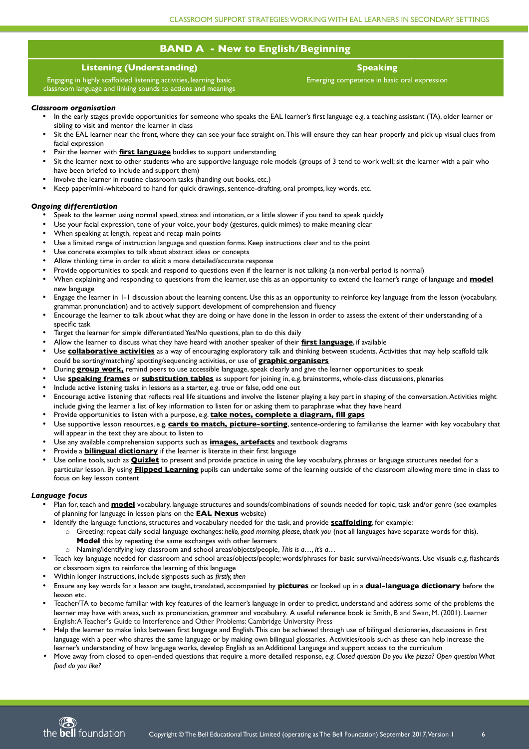# **BAND A - New to English/Beginning**

# **Listening (Understanding)**

Engaging in highly scaffolded listening activities, learning basic classroom language and linking sounds to actions and meanings

# **Speaking**

Emerging competence in basic oral expression

# *Classroom organisation*

- In the early stages provide opportunities for someone who speaks the EAL learner's frst language e.g. a teaching assistant (TA), older learner or sibling to visit and mentor the learner in class
- Sit the EAL learner near the front, where they can see your face straight on. This will ensure they can hear properly and pick up visual clues from facial expression
- Pair the learner with **first language** buddies to support understanding
- Sit the learner next to other students who are supportive language role models (groups of 3 tend to work well; sit the learner with a pair who have been briefed to include and support them)
- Involve the learner in routine classroom tasks (handing out books, etc.)
- Keep paper/mini-whiteboard to hand for quick drawings, sentence-drafting, oral prompts, key words, etc.

# *Ongoing differentiation*

- Speak to the learner using normal speed, stress and intonation, or a little slower if you tend to speak quickly
- Use your facial expression, tone of your voice, your body (gestures, quick mimes) to make meaning clear
- When speaking at length, repeat and recap main points
- Use a limited range of instruction language and question forms. Keep instructions clear and to the point
- Use concrete examples to talk about abstract ideas or concepts
- Allow thinking time in order to elicit a more detailed/accurate response
- Provide opportunities to speak and respond to questions even if the learner is not talking (a non-verbal period is normal)
- When explaining and responding to questions from the learner, use this as an opportunity to extend the learner's range of language and **model** new language
- Engage the learner in 1-1 discussion about the learning content. Use this as an opportunity to reinforce key language from the lesson (vocabulary, grammar, pronunciation) and to actively support development of comprehension and fuency
- Encourage the learner to talk about what they are doing or have done in the lesson in order to assess the extent of their understanding of a specific task
- Target the learner for simple differentiated Yes/No questions, plan to do this daily
- Allow the learner to discuss what they have heard with another speaker of their **first langaage**, if available
- Use **collaborative activities** as a way of encouraging exploratory talk and thinking between students. Activities that may help scaffold talk could be sorting/matching/ spotting/sequencing activities, or use of **graphic organisers**
- During **group work**, remind peers to use accessible language, speak clearly and give the learner opportunities to speak
- Use **speaking frames** or **sabstitation tables** as support for joining in, e.g. brainstorms, whole-class discussions, plenaries
- Include active listening tasks in lessons as a starter, e.g. true or false, odd one out
- Encourage active listening that refects real life situations and involve the listener playing a key part in shaping of the conversation. Activities might include giving the learner a list of key information to listen for or asking them to paraphrase what they have heard
- Provide opportunities to listen with a purpose, e.g. **take notes, complete a diagram, fill gaps**
- Use supportive lesson resources, e.g. **cards to match, pictare-sorting**, sentence-ordering to familiarise the learner with key vocabulary that will appear in the text they are about to listen to
- Use any available comprehension supports such as **images, artefacts** and textbook diagrams
- Provide a **bilingual dictionary** if the learner is literate in their first language
- Use online tools, such as **Quizlet** to present and provide practice in using the key vocabulary, phrases or language structures needed for a particular lesson. By using **Flipped Learning** pupils can undertake some of the learning outside of the classroom allowing more time in class to focus on key lesson content

# *Language focus*

- Plan for, teach and **model** vocabulary, language structures and sounds/combinations of sounds needed for topic, task and/or genre (see examples of planning for language in lesson plans on the **EAL Nexas** website)
- Identify the language functions, structures and vocabulary needed for the task, and provide **scaffolding**, for example:
	- o Greeting: repeat daily social language exchanges: *hello, good morning, please, thank you* (not all languages have separate words for this). **Model** this by repeating the same exchanges with other learners
	- o Naming/identifying key classroom and school areas/objects/people, *This is a…, It's a…*
- Teach key language needed for classroom and school areas/objects/people; words/phrases for basic survival/needs/wants. Use visuals e.g. fashcards
- or classroom signs to reinforce the learning of this language
- Within longer instructions, include signposts such as *firstly, then*
- Ensure any key words for a lesson are taught, translated, accompanied by **pictares** or looked up in a **daal-langaage dictionary** before the lesson etc.
- Teacher/TA to become familiar with key features of the learner's language in order to predict, understand and address some of the problems the learner may have with areas, such as pronunciation, grammar and vocabulary. A useful reference book is: Smith, B and Swan, M. (2001). Learner English: A Teacher's Guide to Interference and Other Problems: Cambridge University Press
- Help the learner to make links between frst language and English. This can be achieved through use of bilingual dictionaries, discussions in frst language with a peer who shares the same language or by making own bilingual glossaries. Activities/tools such as these can help increase the learner's understanding of how language works, develop English as an Additional Language and support access to the curriculum
- . Move away from closed to open-ended questions that require a more detailed response, *e.g. Closed question Do you like pizza? Open question What food do you like?*

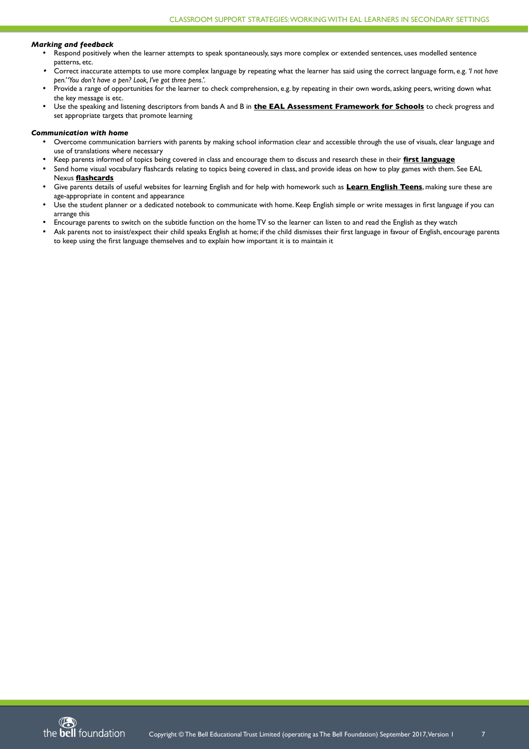#### *Marking and feedback*

- Respond positively when the learner attempts to speak spontaneously, says more complex or extended sentences, uses modelled sentence patterns, etc.
- Correct inaccurate attempts to use more complex language by repeating what the learner has said using the correct language form, e.g. *'I not have pen.' 'You don't have a pen? Look, I've got three pens.'.*
- Provide a range of opportunities for the learner to check comprehension, e.g. by repeating in their own words, asking peers, writing down what the key message is etc.
- Use the speaking and listening descriptors from bands A and B in **the EAL Assessment Framework for Schools** to check progress and set appropriate targets that promote learning

#### *Communication with home*

- Overcome communication barriers with parents by making school information clear and accessible through the use of visuals, clear language and use of translations where necessary
- Keep parents informed of topics being covered in class and encourage them to discuss and research these in their **first langaage**
- Send home visual vocabulary flashcards relating to topics being covered in class, and provide ideas on how to play games with them. See EAL Nexus **flashcards**
- Give parents details of useful websites for learning English and for help with homework such as **Learn English Teens**, making sure these are age-appropriate in content and appearance
- Use the student planner or a dedicated notebook to communicate with home. Keep English simple or write messages in frst language if you can arrange this
- Encourage parents to switch on the subtitle function on the home TV so the learner can listen to and read the English as they watch
- Ask parents not to insist/expect their child speaks English at home; if the child dismisses their first language in favour of English, encourage parents to keep using the frst language themselves and to explain how important it is to maintain it

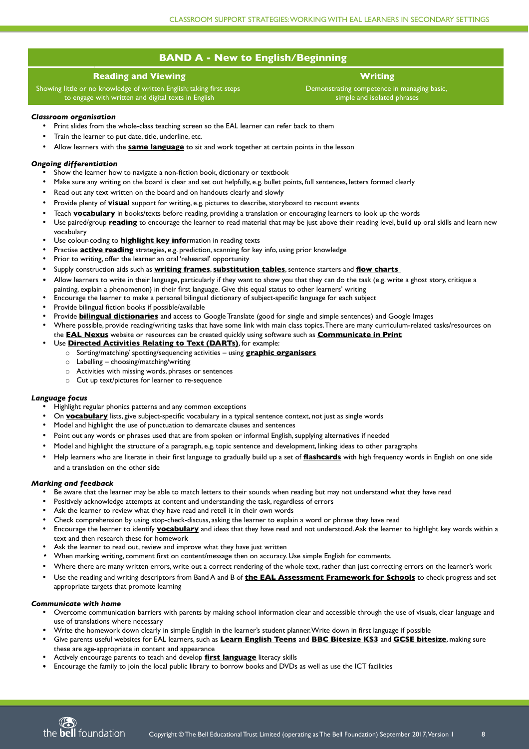# **BAND A - New to English/Beginning**

# **Reading and Viewing**

Showing little or no knowledge of written English; taking first steps to engage with written and digital texts in English

- Print slides from the whole-class teaching screen so the EAL learner can refer back to them
- Train the learner to put date, title, underline, etc.
- Allow learners with the **same language** to sit and work together at certain points in the lesson

# **Writing**

Demonstrating competence in managing basic, simple and isolated phrases

#### *Classroom organisation*

#### *Ongoing differentiation*

- Show the learner how to navigate a non-fiction book, dictionary or textbook
- Make sure any writing on the board is clear and set out helpfully, e.g. bullet points, full sentences, letters formed clearly
- Read out any text written on the board and on handouts clearly and slowly
- Provide plenty of **visual** support for writing, e.g. pictures to describe, storyboard to recount events
- Teach **vocabulary** in books/texts before reading, providing a translation or encouraging learners to look up the words
- Use paired/group **reading** to encourage the learner to read material that may be just above their reading level, build up oral skills and learn new vocabulary
- Use colour-coding to **highlight key info**rmation in reading texts
- Practise **active reading** strategies, e.g. prediction, scanning for key info, using prior knowledge
- Prior to writing, offer the learner an oral 'rehearsal' opportunity
- Supply construction aids such as **writing frames**, **sabstitation tables**, sentence starters and **flow charts**
- Allow learners to write in their language, particularly if they want to show you that they can do the task (e.g. write a ghost story, critique a painting, explain a phenomenon) in their frst language. Give this equal status to other learners' writing
- Encourage the learner to make a personal bilingual dictionary of subject-specifc language for each subject
- Provide bilingual fiction books if possible/available
- Provide **bilingaal dictionaries** and access to Google Translate (good for single and simple sentences) and Google Images
- Where possible, provide reading/writing tasks that have some link with main class topics. There are many curriculum-related tasks/resources on

the **EAL Nexas** website or resources can be created quickly using software such as **Commanicate in Print**

- Use **Directed Activities Relating to Text (DARTs)**, for example:
	- o Sorting/matching/ spotting/sequencing activities using **graphic organisers**
	- $\circ$  Labelling choosing/matching/writing
	- o Activities with missing words, phrases or sentences
	- o Cut up text/pictures for learner to re-sequence

#### *Language focus*

- Highlight regular phonics patterns and any common exceptions
- On **vocabulary** lists, give subject-specific vocabulary in a typical sentence context, not just as single words
- Model and highlight the use of punctuation to demarcate clauses and sentences
- Point out any words or phrases used that are from spoken or informal English, supplying alternatives if needed
- Model and highlight the structure of a paragraph, e.g. topic sentence and development, linking ideas to other paragraphs
- Help learners who are literate in their frst language to gradually build up a set of **flashcards** with high frequency words in English on one side and a translation on the other side

#### *Marking and feedback*

- Be aware that the learner may be able to match letters to their sounds when reading but may not understand what they have read
- Positively acknowledge attempts at content and understanding the task, regardless of errors
- Ask the learner to review what they have read and retell it in their own words
- Check comprehension by using stop-check-discuss, asking the learner to explain a word or phrase they have read
- Encourage the learner to identify **vocabalary** and ideas that they have read and not understood. Ask the learner to highlight key words within a text and then research these for homework
- Ask the learner to read out, review and improve what they have just written
- . When marking writing, comment frst on content/message then on accuracy. Use simple English for comments.
- 
- Where there are many written errors, write out a correct rendering of the whole text, rather than just correcting errors on the learner's work
- Use the reading and writing descriptors from Band A and B of **the EAL Assessment Framework for Schools** to check progress and set appropriate targets that promote learning

#### *Communicate with home*

- Overcome communication barriers with parents by making school information clear and accessible through the use of visuals, clear language and use of translations where necessary
- Write the homework down clearly in simple English in the learner's student planner. Write down in first language if possible
- Give parents useful websites for EAL learners, such as **Learn English Teens** and **BBC Bitesize KS3** and **GCSE bitesize**, making sure these are age-appropriate in content and appearance
- Actively encourage parents to teach and develop **first language** literacy skills
- Encourage the family to join the local public library to borrow books and DVDs as well as use the ICT facilities

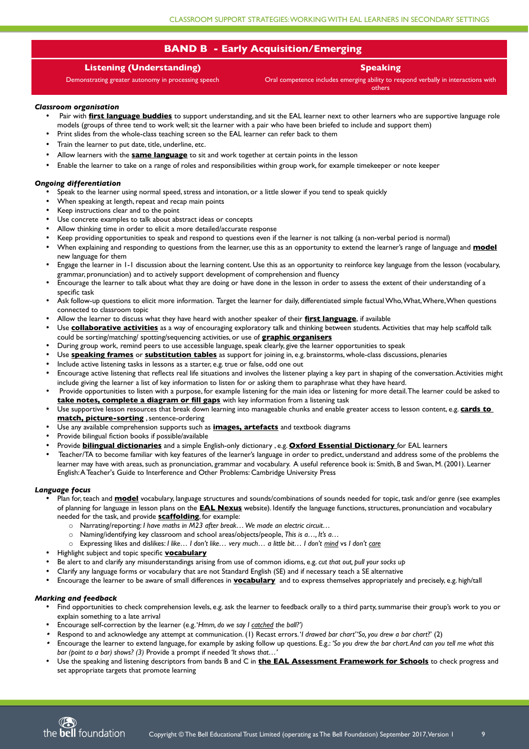# **Listening (Understanding)**

Demonstrating greater autonomy in processing speech

**Speaking**

Oral competence includes emerging ability to respond verbally in interactions with others

# *Classroom organisation*

- Pair with **first language buddies** to support understanding, and sit the EAL learner next to other learners who are supportive language role models (groups of three tend to work well; sit the learner with a pair who have been briefed to include and support them)
- Print slides from the whole-class teaching screen so the EAL learner can refer back to them
- Train the learner to put date, title, underline, etc.
- Allow learners with the **same language** to sit and work together at certain points in the lesson
- Enable the learner to take on a range of roles and responsibilities within group work, for example timekeeper or note keeper

# *Ongoing differentiation*

- Plan for, teach and **model** vocabulary, language structures and sounds/combinations of sounds needed for topic, task and/or genre (see examples of planning for language in lesson plans on the **EAL Nexas** website). Identify the language functions, structures, pronunciation and vocabulary needed for the task, and provide **scaffolding**, for example:
	- o Narrating/reporting: *I have maths in M23 after break… We made an electric circuit…*
	- o Naming/identifying key classroom and school areas/objects/people, *This is a…, It's a…*
	- o Expressing likes and dislikes: *I like… I don't like… very much… a little bit… I don't mind* vs *I don't care*
- Highlight subject and topic specifc **vocabalary**
- Be alert to and clarify any misunderstandings arising from use of common idioms, e.g. *cut that out, pull your socks up*
- Speak to the learner using normal speed, stress and intonation, or a little slower if you tend to speak quickly
- When speaking at length, repeat and recap main points
- Keep instructions clear and to the point
- Use concrete examples to talk about abstract ideas or concepts
- Allow thinking time in order to elicit a more detailed/accurate response
- Keep providing opportunities to speak and respond to questions even if the learner is not talking (a non-verbal period is normal)
- When explaining and responding to questions from the learner, use this as an opportunity to extend the learner's range of language and **model** new language for them
- Engage the learner in 1-1 discussion about the learning content. Use this as an opportunity to reinforce key language from the lesson (vocabulary, grammar, pronunciation) and to actively support development of comprehension and fuency
- Encourage the learner to talk about what they are doing or have done in the lesson in order to assess the extent of their understanding of a specific task
- Ask follow-up questions to elicit more information. Target the learner for daily, differentiated simple factual Who, What, Where, When questions connected to classroom topic
- Allow the learner to discuss what they have heard with another speaker of their **first langaage**, if available
- Use **collaborative activities** as a way of encouraging exploratory talk and thinking between students. Activities that may help scaffold talk could be sorting/matching/ spotting/sequencing activities, or use of **graphic organisers**
- During group work, remind peers to use accessible language, speak clearly, give the learner opportunities to speak
- Use **speaking frames** or **sabstitation tables** as support for joining in, e.g. brainstorms, whole-class discussions, plenaries
- Include active listening tasks in lessons as a starter, e.g. true or false, odd one out
- Encourage active listening that refects real life situations and involves the listener playing a key part in shaping of the conversation. Activities might include giving the learner a list of key information to listen for or asking them to paraphrase what they have heard.
- Provide opportunities to listen with a purpose, for example listening for the main idea or listening for more detail. The learner could be asked to **take notes, complete a diagram or fill gaps** with key information from a listening task
- Use supportive lesson resources that break down learning into manageable chunks and enable greater access to lesson content, e.g. **cards to match, pictare-sorting** , sentence-ordering
- Use any available comprehension supports such as **images, artefacts** and textbook diagrams
- Provide bilingual fiction books if possible/available
- Provide **bilingaal dictionaries** and a simple English-only dictionary , e.g. **Oxford Essential Dictionary** for EAL learners
- Teacher/TA to become familiar with key features of the learner's language in order to predict, understand and address some of the problems the learner may have with areas, such as pronunciation, grammar and vocabulary. A useful reference book is: Smith, B and Swan, M. (2001). Learner English: A Teacher's Guide to Interference and Other Problems: Cambridge University Press

# *Language focus*

- 
- Clarify any language forms or vocabulary that are not Standard English (SE) and if necessary teach a SE alternative
- Encourage the learner to be aware of small differences in **vocabalary** and to express themselves appropriately and precisely, e.g. high/tall

## *Marking and feedback*

- Find opportunities to check comprehension levels, e.g. ask the learner to feedback orally to a third party, summarise their group's work to you or explain something to a late arrival
- Encourage self-correction by the learner (e.g. '*Hmm, do we say I catched the ball?')*
- . Respond to and acknowledge any attempt at communication. (1) Recast errors. '*I drawed bar chart' 'So, you drew a bar chart*?' (2)
- . Encourage the learner to extend language, for example by asking follow up questions. E.g.: *'So you drew the bar chart. And can you tell me what this bar (point to a bar) shows? (3)* Provide a prompt if needed *'It shows that…'*
- Use the speaking and listening descriptors from bands B and C in **the EAL Assessment Framework for Schools** to check progress and set appropriate targets that promote learning



# **BAND B - Early Acquisition/Emerging**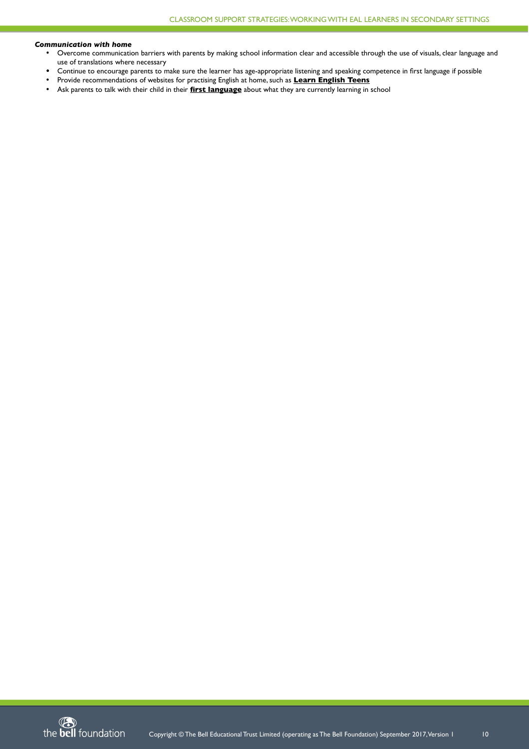#### *Communication with home*

- Overcome communication barriers with parents by making school information clear and accessible through the use of visuals, clear language and use of translations where necessary
- Continue to encourage parents to make sure the learner has age-appropriate listening and speaking competence in first language if possible
- Provide recommendations of websites for practising English at home, such as **Learn English Teens**
- Ask parents to talk with their child in their **first langaage** about what they are currently learning in school

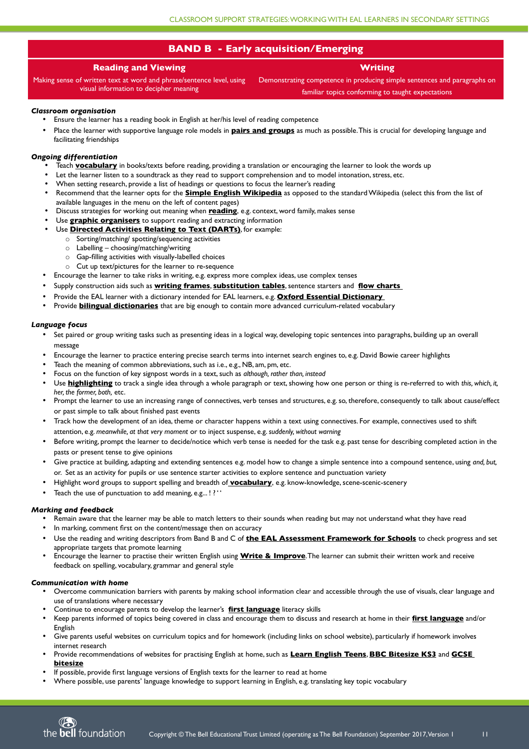# **Reading and Viewing**

Making sense of written text at word and phrase/sentence level, using visual information to decipher meaning

**Writing**

Demonstrating competence in producing simple sentences and paragraphs on familiar topics conforming to taught expectations

## *Classroom organisation*

- Ensure the learner has a reading book in English at her/his level of reading competence
- Place the learner with supportive language role models in **pairs and groups** as much as possible. This is crucial for developing language and facilitating friendships

## *Ongoing differentiation*

- Teach **vocabulary** in books/texts before reading, providing a translation or encouraging the learner to look the words up
- Let the learner listen to a soundtrack as they read to support comprehension and to model intonation, stress, etc.
- When setting research, provide a list of headings or questions to focus the learner's reading
- Recommend that the learner opts for the **Simple English Wikipedia** as opposed to the standard Wikipedia (select this from the list of available languages in the menu on the left of content pages)
- Discuss strategies for working out meaning when **reading**, e.g. context, word family, makes sense
- Use **graphic organisers** to support reading and extracting information
- Use **Directed Activities Relating to Text (DARTs)**, for example:
	- o Sorting/matching/ spotting/sequencing activities
	- $\circ$  Labelling choosing/matching/writing
	- o Gap-flling activities with visually-labelled choices
	- o Cut up text/pictures for the learner to re-sequence
- Encourage the learner to take risks in writing, e.g. express more complex ideas, use complex tenses
- Supply construction aids such as **writing frames**, **sabstitation tables**, sentence starters and **flow charts**
- Provide the EAL learner with a dictionary intended for EAL learners, e.g. **Oxford Essential Dictionary**
- Provide **bilingual dictionaries** that are big enough to contain more advanced curriculum-related vocabulary

- Set paired or group writing tasks such as presenting ideas in a logical way, developing topic sentences into paragraphs, building up an overall message
- Encourage the learner to practice entering precise search terms into internet search engines to, e.g. David Bowie career highlights
- Teach the meaning of common abbreviations, such as i.e., e.g., NB, am, pm, etc.
- Focus on the function of key signpost words in a text, such as *although, rather than, instead*
- Use **highlighting** to track a single idea through a whole paragraph or text, showing how one person or thing is re-referred to with *this, which, it, her, the former, both,* etc.
- Prompt the learner to use an increasing range of connectives, verb tenses and structures, e.g. so, therefore, consequently to talk about cause/effect or past simple to talk about fnished past events
- Track how the development of an idea, theme or character happens within a text using connectives. For example, connectives used to shift attention, e.g. *meanwhile, at that very moment* or to inject suspense, e.g. *suddenly, without warning*
- Before writing, prompt the learner to decide/notice which verb tense is needed for the task e.g. past tense for describing completed action in the pasts or present tense to give opinions
- Give practice at building, adapting and extending sentences e.g. model how to change a simple sentence into a compound sentence, using *and, but,* or. Set as an activity for pupils or use sentence starter activities to explore sentence and punctuation variety
- Highlight word groups to support spelling and breadth of **vocabalary**, e.g. know-knowledge, scene-scenic-scenery
- Teach the use of punctuation to add meaning, e.g...!? ''

#### *Language focus*

#### *Marking and feedback*

- Remain aware that the learner may be able to match letters to their sounds when reading but may not understand what they have read
- In marking, comment first on the content/message then on accuracy
- Use the reading and writing descriptors from Band B and C of **the EAL Assessment Framework for Schools** to check progress and set appropriate targets that promote learning
- Encourage the learner to practise their written English using **Write & Improve**. The learner can submit their written work and receive
	- feedback on spelling, vocabulary, grammar and general style

#### *Communication with home*

- Overcome communication barriers with parents by making school information clear and accessible through the use of visuals, clear language and use of translations where necessary
- Continue to encourage parents to develop the learner's **first language** literacy skills
- Keep parents informed of topics being covered in class and encourage them to discuss and research at home in their **first langaage** and/or English
- Give parents useful websites on curriculum topics and for homework (including links on school website), particularly if homework involves internet research
- Provide recommendations of websites for practising English at home, such as **Learn English Teens**, **BBC Bitesize KS3** and **GCSE bitesize**
- If possible, provide frst language versions of English texts for the learner to read at home
- Where possible, use parents' language knowledge to support learning in English, e.g. translating key topic vocabulary



# **BAND B - Early acquisition/Emerging**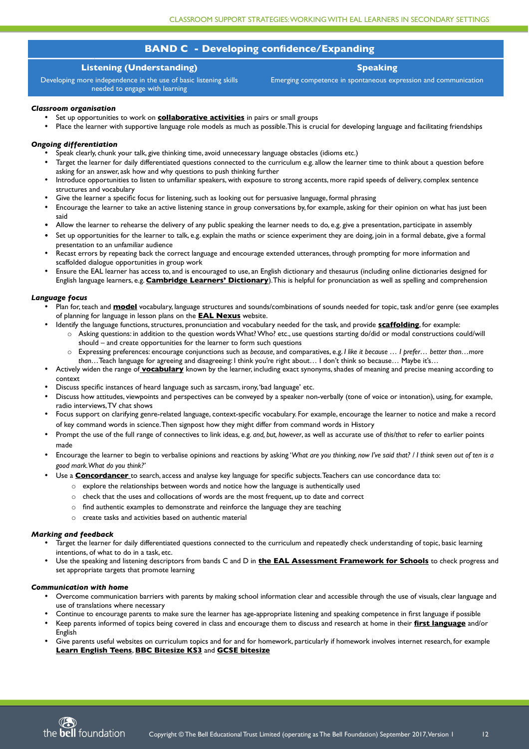# **BAND C - Developing confidence/Expanding**

# **Listening (Understanding)**

Developing more independence in the use of basic listening skills needed to engage with learning

**Speaking**

Emerging competence in spontaneous expression and communication

#### *Classroom organisation*

- Set up opportunities to work on **collaborative activities** in pairs or small groups
- Place the learner with supportive language role models as much as possible. This is crucial for developing language and facilitating friendships

## *Ongoing differentiation*

- Speak clearly, chunk your talk, give thinking time, avoid unnecessary language obstacles (idioms etc.)
- Target the learner for daily differentiated questions connected to the curriculum e.g. allow the learner time to think about a question before asking for an answer, ask how and why questions to push thinking further
- Introduce opportunities to listen to unfamiliar speakers, with exposure to strong accents, more rapid speeds of delivery, complex sentence structures and vocabulary
- Give the learner a specifc focus for listening, such as looking out for persuasive language, formal phrasing
- Encourage the learner to take an active listening stance in group conversations by, for example, asking for their opinion on what has just been said
- Allow the learner to rehearse the delivery of any public speaking the learner needs to do, e.g. give a presentation, participate in assembly
- Set up opportunities for the learner to talk, e.g. explain the maths or science experiment they are doing, join in a formal debate, give a formal presentation to an unfamiliar audience
- Recast errors by repeating back the correct language and encourage extended utterances, through prompting for more information and scaffolded dialogue opportunities in group work
- Ensure the EAL learner has access to, and is encouraged to use, an English dictionary and thesaurus (including online dictionaries designed for English language learners, e.g. **Cambridge Learners' Dictionary**). This is helpful for pronunciation as well as spelling and comprehension

## *Language focus*

- Plan for, teach and **model** vocabulary, language structures and sounds/combinations of sounds needed for topic, task and/or genre (see examples of planning for language in lesson plans on the **EAL Nexas** website.
- Identify the language functions, structures, pronunciation and vocabulary needed for the task, and provide **scaffolding**, for example:
	- o Asking questions: in addition to the question words What? Who? etc., use questions starting do/did or modal constructions could/will should – and create opportunities for the learner to form such questions
	- o Expressing preferences: encourage conjunctions such as *because,* and comparatives, e.g. *I like it because … I prefer… better than…more than…*Teach language for agreeing and disagreeing: I think you're right about… I don't think so because… Maybe it's…
- Actively widen the range of **vocabalary** known by the learner, including exact synonyms, shades of meaning and precise meaning according to context
- Discuss specifc instances of heard language such as sarcasm, irony, 'bad language' etc.
- Discuss how attitudes, viewpoints and perspectives can be conveyed by a speaker non-verbally (tone of voice or intonation), using, for example, radio interviews, TV chat shows
- Focus support on clarifying genre-related language, context-specifc vocabulary. For example, encourage the learner to notice and make a record of key command words in science. Then signpost how they might differ from command words in History
- Prompt the use of the full range of connectives to link ideas, e.g. *and, but, however*, as well as accurate use of *this/that* to refer to earlier points made
- Encourage the learner to begin to verbalise opinions and reactions by asking '*What are you thinking, now I've said that? / I think seven out of ten is a good mark. What do you think?'*
- Use a **Concordancer** to search, access and analyse key language for specific subjects. Teachers can use concordance data to:
	- $\circ$  explore the relationships between words and notice how the language is authentically used
	- o check that the uses and collocations of words are the most frequent, up to date and correct
	- $\circ$  find authentic examples to demonstrate and reinforce the language they are teaching
	- o create tasks and activities based on authentic material

#### *Marking and feedback*

- Target the learner for daily differentiated questions connected to the curriculum and repeatedly check understanding of topic, basic learning intentions, of what to do in a task, etc.
- Use the speaking and listening descriptors from bands C and D in **the EAL Assessment Framework for Schools** to check progress and

set appropriate targets that promote learning

#### *Communication with home*

- Overcome communication barriers with parents by making school information clear and accessible through the use of visuals, clear language and use of translations where necessary
- Continue to encourage parents to make sure the learner has age-appropriate listening and speaking competence in frst language if possible
- Keep parents informed of topics being covered in class and encourage them to discuss and research at home in their **first langaage** and/or English
- Give parents useful websites on curriculum topics and for and for homework, particularly if homework involves internet research, for example **Learn English Teens**, **BBC Bitesize KS3** and **GCSE bitesize**

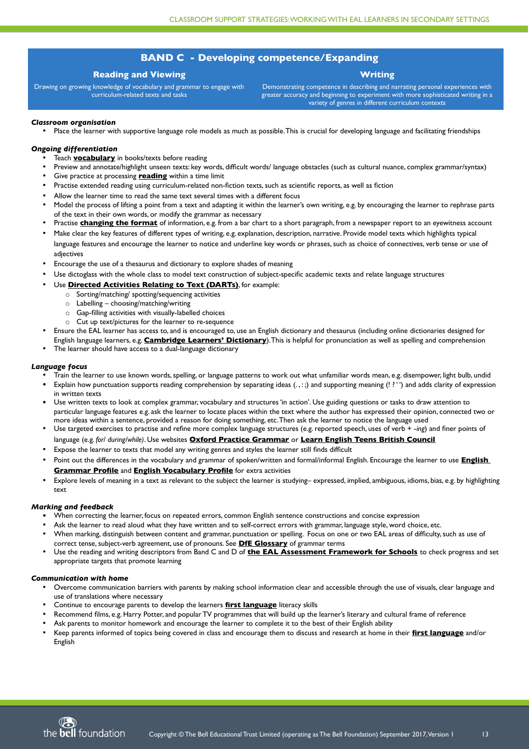# **BAND C - Developing competence/Expanding**

# **Reading and Viewing**

Drawing on growing knowledge of vocabulary and grammar to engage with curriculum-related texts and tasks

# **Writing**

Demonstrating competence in describing and narrating personal experiences with greater accuracy and beginning to experiment with more sophisticated writing in a variety of genres in different curriculum contexts

## *Classroom organisation*

• Place the learner with supportive language role models as much as possible. This is crucial for developing language and facilitating friendships

## *Ongoing differentiation*

- Teach **vocabulary** in books/texts before reading
- Preview and annotate/highlight unseen texts: key words, difficult words/ language obstacles (such as cultural nuance, complex grammar/syntax)
- Give practice at processing **reading** within a time limit
- Practise extended reading using curriculum-related non-fiction texts, such as scientific reports, as well as fiction
- Allow the learner time to read the same text several times with a different focus
- Model the process of lifting a point from a text and adapting it within the learner's own writing, e.g. by encouraging the learner to rephrase parts of the text in their own words, or modify the grammar as necessary
- Practise **changing the format** of information, e.g. from a bar chart to a short paragraph, from a newspaper report to an eyewitness account
- Make clear the key features of different types of writing, e.g. explanation, description, narrative. Provide model texts which highlights typical language features and encourage the learner to notice and underline key words or phrases, such as choice of connectives, verb tense or use of adjectives
- Encourage the use of a thesaurus and dictionary to explore shades of meaning
- Use dictoglass with the whole class to model text construction of subject-specifc academic texts and relate language structures
- Use **Directed Activities Relating to Text (DARTs)**, for example:
	- o Sorting/matching/ spotting/sequencing activities
	- $\circ$  Labelling choosing/matching/writing
	- $\circ$  Gap-filling activities with visually-labelled choices
	- o Cut up text/pictures for the learner to re-sequence
- Ensure the EAL learner has access to, and is encouraged to, use an English dictionary and thesaurus (including online dictionaries designed for English language learners, e.g. **Cambridge Learners' Dictionary**). This is helpful for pronunciation as well as spelling and comprehension
- The learner should have access to a dual-language dictionary

#### *Language focus*

- Train the learner to use known words, spelling, or language patterns to work out what unfamiliar words mean, e.g. disempower, light bulb, undid
- Explain how punctuation supports reading comprehension by separating ideas  $(., :;)$  and supporting meaning  $('.;')$  and adds clarity of expression in written texts
- Use written texts to look at complex grammar, vocabulary and structures 'in action'. Use guiding questions or tasks to draw attention to particular language features e.g. ask the learner to locate places within the text where the author has expressed their opinion, connected two or more ideas within a sentence, provided a reason for doing something, etc. Then ask the learner to notice the language used
- Use targeted exercises to practise and refne more complex language structures (e.g. reported speech, uses of verb + -*ing*) and fner points of language (e.g. *for/ during/while)*. Use websites **Oxford Practice Grammar** or **Learn English Teens British Coancil**
- Expose the learner to texts that model any writing genres and styles the learner still fnds diffcult
- Point out the differences in the vocabulary and grammar of spoken/written and formal/informal English. Encourage the learner to use **English Grammar Profile** and **English Vocabalary Profile** for extra activities
- Explore levels of meaning in a text as relevant to the subject the learner is studying– expressed, implied, ambiguous, idioms, bias, e.g. by highlighting text

#### *Marking and feedback*

- When correcting the learner, focus on repeated errors, common English sentence constructions and concise expression
- Ask the learner to read aloud what they have written and to self-correct errors with grammar, language style, word choice, etc.
- When marking, distinguish between content and grammar, punctuation or spelling. Focus on one or two EAL areas of difficulty, such as use of correct tense, subject-verb agreement, use of pronouns. See **DfE Glossary** of grammar terms
- Use the reading and writing descriptors from Band C and D of **the EAL Assessment Framework for Schools** to check progress and set appropriate targets that promote learning

#### *Communication with home*

- Overcome communication barriers with parents by making school information clear and accessible through the use of visuals, clear language and use of translations where necessary
- Continue to encourage parents to develop the learners **first language** literacy skills
- Recommend flms, e.g. Harry Potter, and popular TV programmes that will build up the learner's literary and cultural frame of reference
- Ask parents to monitor homework and encourage the learner to complete it to the best of their English ability
- Keep parents informed of topics being covered in class and encourage them to discuss and research at home in their **first langaage** and/or English

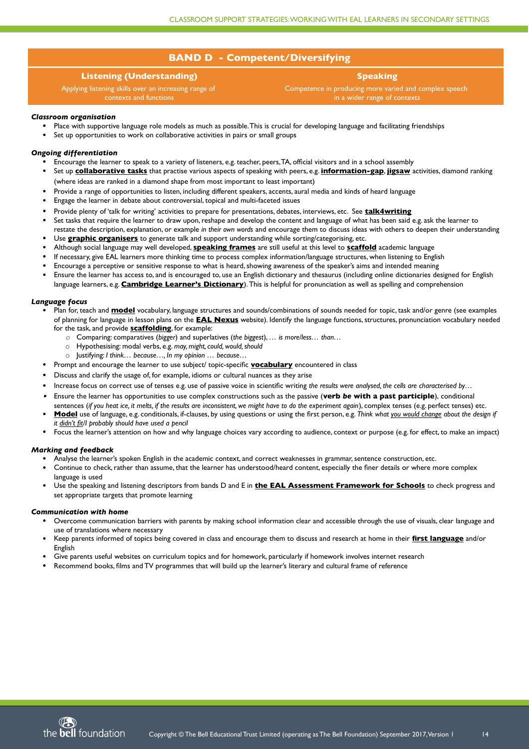# **BAND D - Competent/Diversifying**

# **Listening (Understanding)**

Applying listening skills over an increasing range of contexts and functions

# **Speaking**

Competence in producing more varied and complex speech in a wider range of contexts

## *Classroom organisation*

- Place with supportive language role models as much as possible. This is crucial for developing language and facilitating friendships
- Set up opportunities to work on collaborative activities in pairs or small groups

#### *Ongoing differentiation*

- Encourage the learner to speak to a variety of listeners, e.g. teacher, peers, TA, offcial visitors and in a school assembly
- Set up **collaborative tasks** that practise various aspects of speaking with peers, e.g. **information-gap**, **jigsaw** activities, diamond ranking (where ideas are ranked in a diamond shape from most important to least important)
- Provide a range of opportunities to listen, including different speakers, accents, aural media and kinds of heard language
- Engage the learner in debate about controversial, topical and multi-faceted issues
- Provide plenty of 'talk for writing' activities to prepare for presentations, debates, interviews, etc. See **talk4writing**
- Set tasks that require the learner to draw upon, reshape and develop the content and language of what has been said e.g. ask the learner to restate the description, explanation, or example *in their own words* and encourage them to discuss ideas with others to deepen their understanding
- Use **graphic organisers** to generate talk and support understanding while sorting/categorising, etc.
- Although social language may well developed, **speaking frames** are still useful at this level to **scaffold** academic language
- If necessary, give EAL learners more thinking time to process complex information/language structures, when listening to English
- Encourage a perceptive or sensitive response to what is heard, showing awareness of the speaker's aims and intended meaning
- Ensure the learner has access to, and is encouraged to, use an English dictionary and thesaurus (including online dictionaries designed for English language learners, e.g. **Cambridge Learner's Dictionary**). This is helpful for pronunciation as well as spelling and comprehension

- Plan for, teach and **model** vocabulary, language structures and sounds/combinations of sounds needed for topic, task and/or genre (see examples of planning for language in lesson plans on the **EAL Nexas** website). Identify the language functions, structures, pronunciation vocabulary needed for the task, and provide **scaffolding**, for example:
	- *o* Comparing: comparatives (*bigger*) and superlatives (*the biggest*), *… is more/less… than…*
	- o Hypothesising: modal verbs, e.g. *may, might, could, would, should*
	- o Justifying: *I think… because…, In my opinion … because…*
- Prompt and encourage the learner to use subject/ topic-specific **vocabulary** encountered in class
- Discuss and clarify the usage of, for example, idioms or cultural nuances as they arise
- Increase focus on correct use of tenses e.g. use of passive voice in scientifc writing *the results were analysed, the cells are characterised by…*
- 0 Ensure the learner has opportunities to use complex constructions such as the passive (**verb** *be* **with a past participle**), conditional sentences (*if you heat ice, it melts, if the results are inconsistent, we might have to do the experiment again*), complex tenses (e.g. perfect tenses) etc.
- **Model** use of language, e.g. conditionals, if-clauses, by using questions or using the frst person, e.g. *Think what you would change about the design if it didn't fit/I probably should have used a pencil*
- Focus the learner's attention on how and why language choices vary according to audience, context or purpose (e.g. for effect, to make an impact)

- Overcome communication barriers with parents by making school information clear and accessible through the use of visuals, clear language and use of translations where necessary
- Keep parents informed of topics being covered in class and encourage them to discuss and research at home in their **first langaage** and/or English
- Give parents useful websites on curriculum topics and for homework, particularly if homework involves internet research
- Recommend books, films and TV programmes that will build up the learner's literary and cultural frame
- 



#### *Language focus*

#### *Marking and feedback*

- Analyse the learner's spoken English in the academic context, and correct weaknesses in grammar, sentence construction, etc.
- Continue to check, rather than assume, that the learner has understood/heard content, especially the fner details or where more complex language is used
- Use the speaking and listening descriptors from bands D and E in **the EAL Assessment Framework for Schools** to check progress and set appropriate targets that promote learning

## *Communication with home*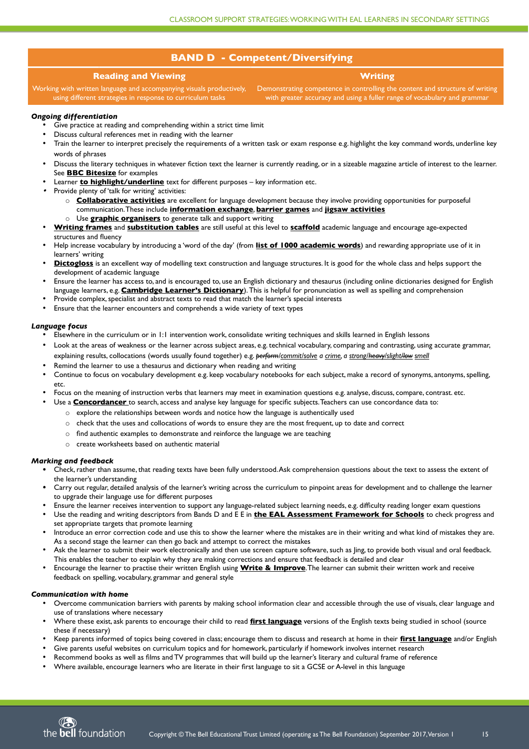# **BAND D - Competent/Diversifying**

# **Reading and Viewing**

**Writing**

Working with written language and accompanying visuals productively, using different strategies in response to curriculum tasks Demonstrating competence in controlling the content and structure of writing with greater accuracy and using a fuller range of vocabulary and grammar

# *Ongoing differentiation*

- Give practice at reading and comprehending within a strict time limit
- Discuss cultural references met in reading with the learner
- Train the learner to interpret precisely the requirements of a written task or exam response e.g. highlight the key command words, underline key words of phrases
- Discuss the literary techniques in whatever fiction text the learner is currently reading, or in a sizeable magazine article of interest to the learner. See **BBC Bitesize** for examples
- Learner **to highlight/underline** text for different purposes key information etc.
- . Provide plenty of 'talk for writing' activities:
	- o **Collaborative activities** are excellent for language development because they involve providing opportunities for purposeful communication. These include **information exchange**, **barrier games** and **jigsaw activities**
	- o Use **graphic organisers** to generate talk and support writing
- **Writing frames** and **substitution tables** are still useful at this level to **scaffold** academic language and encourage age-expected structures and fuency
- Help increase vocabulary by introducing a 'word of the day' (from **list of 1000 academic words**) and rewarding appropriate use of it in learners' writing
- **Dictogloss** is an excellent way of modelling text construction and language structures. It is good for the whole class and helps support the development of academic language
- Ensure the learner has access to, and is encouraged to, use an English dictionary and thesaurus (including online dictionaries designed for English language learners, e.g. **Cambridge Learner's Dictionary**). This is helpful for pronunciation as well as spelling and comprehension
- Provide complex, specialist and abstract texts to read that match the learner's special interests
- Ensure that the learner encounters and comprehends a wide variety of text types

## *Language focus*

- Elsewhere in the curriculum or in 1:1 intervention work, consolidate writing techniques and skills learned in English lessons
- Look at the areas of weakness or the learner across subject areas, e.g. technical vocabulary, comparing and contrasting, using accurate grammar, explaining results, collocations (words usually found together) e.g. *perform/commit/solve a crime, a strong/ heavy/slight How smell*
- Remind the learner to use a thesaurus and dictionary when reading and writing
- Continue to focus on vocabulary development e.g. keep vocabulary notebooks for each subject, make a record of synonyms, antonyms, spelling, etc.
- Focus on the meaning of instruction verbs that learners may meet in examination questions e.g. analyse, discuss, compare, contrast. etc.
- Use a **Concordancer** to search, access and analyse key language for specifc subjects. Teachers can use concordance data to:
	- $\circ$  explore the relationships between words and notice how the language is authentically used
	- o check that the uses and collocations of words to ensure they are the most frequent, up to date and correct
	- $\circ$  find authentic examples to demonstrate and reinforce the language we are teaching
	- o create worksheets based on authentic material

#### *Marking and feedback*

- Check, rather than assume, that reading texts have been fully understood. Ask comprehension questions about the text to assess the extent of the learner's understanding
- Carry out regular, detailed analysis of the learner's writing across the curriculum to pinpoint areas for development and to challenge the learner to upgrade their language use for different purposes
- Ensure the learner receives intervention to support any language-related subject learning needs, e.g. diffculty reading longer exam questions
- Use the reading and writing descriptors from Bands D and E E in **the EAL Assessment Framework for Schools** to check progress and set appropriate targets that promote learning
- Introduce an error correction code and use this to show the learner where the mistakes are in their writing and what kind of mistakes they are. As a second stage the learner can then go back and attempt to correct the mistakes
- Ask the learner to submit their work electronically and then use screen capture software, such as Jing, to provide both visual and oral feedback. This enables the teacher to explain why they are making corrections and ensure that feedback is detailed and clear
- Encourage the learner to practise their written English using **Write & Improve**. The learner can submit their written work and receive feedback on spelling, vocabulary, grammar and general style

## *Communication with home*

- Overcome communication barriers with parents by making school information clear and accessible through the use of visuals, clear language and use of translations where necessary
- Where these exist, ask parents to encourage their child to read *first language* versions of the English texts being studied in school (source these if necessary)
- Keep parents informed of topics being covered in class; encourage them to discuss and research at home in their **first langaage** and/or English
- Give parents useful websites on curriculum topics and for homework, particularly if homework involves internet research
- Recommend books as well as flms and TV programmes that will build up the learner's literary and cultural frame of reference
- Where available, encourage learners who are literate in their frst language to sit a GCSE or A-level in this language

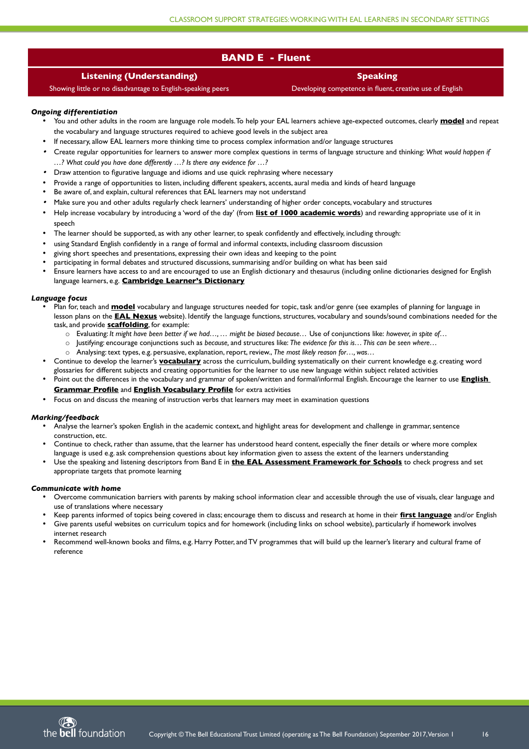# **BAND E - Flaent**

# **Listening (Understanding)**

Showing little or no disadvantage to English-speaking peers

**Speaking**

Developing competence in fuent, creative use of English

# *Ongoing differentiation*

- You and other adults in the room are language role models. To help your EAL learners achieve age-expected outcomes, clearly **model** and repeat the vocabulary and language structures required to achieve good levels in the subject area
- If necessary, allow EAL learners more thinking time to process complex information and/or language structures
- . Create regular opportunities for learners to answer more complex questions in terms of language structure and thinking: *What would happen if …? What could you have done differently …? Is there any evidence for …?*
- . Draw attention to fgurative language and idioms and use quick rephrasing where necessary
- Provide a range of opportunities to listen, including different speakers, accents, aural media and kinds of heard language
- Be aware of, and explain, cultural references that EAL learners may not understand
- . Make sure you and other adults regularly check learners' understanding of higher order concepts, vocabulary and structures
- Help increase vocabulary by introducing a 'word of the day' (from **list of 1000 academic words**) and rewarding appropriate use of it in speech
- The learner should be supported, as with any other learner, to speak confdently and effectively, including through:
- using Standard English confdently in a range of formal and informal contexts, including classroom discussion
- giving short speeches and presentations, expressing their own ideas and keeping to the point
- participating in formal debates and structured discussions, summarising and/or building on what has been said
- Ensure learners have access to and are encouraged to use an English dictionary and thesaurus (including online dictionaries designed for English language learners, e.g. **Cambridge Learner's Dictionary**

## *Language focus*

- Plan for, teach and **model** vocabulary and language structures needed for topic, task and/or genre (see examples of planning for language in lesson plans on the **EAL Nexas** website). Identify the language functions, structures, vocabulary and sounds/sound combinations needed for the task, and provide **scaffolding**, for example:
	- o Evaluating: *It might have been better if we had…, … might be biased because…* Use of conjunctions like: *however, in spite of…*
	- o Justifying: encourage conjunctions such as *because,* and structures like: *The evidence for this is… This can be seen where…*
	- o Analysing: text types, e.g. persuasive, explanation, report, review., *The most likely reason for…, was…*
- Continue to develop the learner's **vocabalary** across the curriculum, building systematically on their current knowledge e.g. creating word glossaries for different subjects and creating opportunities for the learner to use new language within subject related activities
- Point out the differences in the vocabulary and grammar of spoken/written and formal/informal English. Encourage the learner to use **English Grammar Profile** and **English Vocabalary Profile** for extra activities
- Focus on and discuss the meaning of instruction verbs that learners may meet in examination questions

## *Marking/feedback*

- Analyse the learner's spoken English in the academic context, and highlight areas for development and challenge in grammar, sentence construction, etc.
- Continue to check, rather than assume, that the learner has understood heard content, especially the fner details or where more complex language is used e.g. ask comprehension questions about key information given to assess the extent of the learners understanding
- Use the speaking and listening descriptors from Band E in **the EAL Assessment Framework for Schools** to check progress and set appropriate targets that promote learning

## *Communicate with home*

- Overcome communication barriers with parents by making school information clear and accessible through the use of visuals, clear language and use of translations where necessary
- Keep parents informed of topics being covered in class; encourage them to discuss and research at home in their **first langaage** and/or English
- Give parents useful websites on curriculum topics and for homework (including links on school website), particularly if homework involves internet research
- Recommend well-known books and flms, e.g. Harry Potter, and TV programmes that will build up the learner's literary and cultural frame of reference